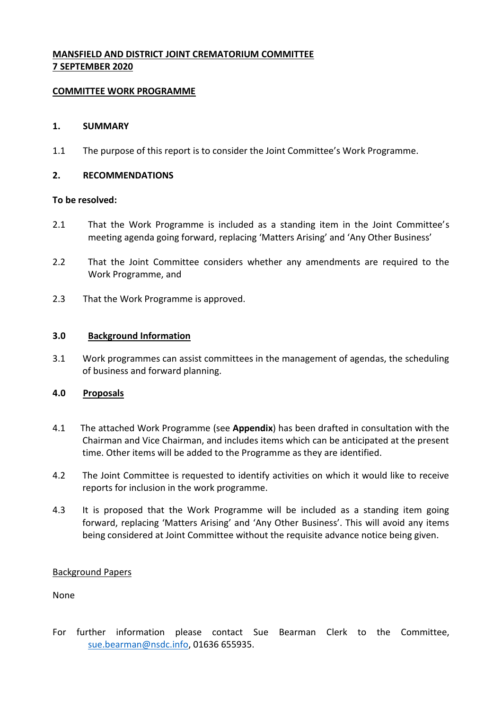# **MANSFIELD AND DISTRICT JOINT CREMATORIUM COMMITTEE 7 SEPTEMBER 2020**

## **COMMITTEE WORK PROGRAMME**

## **1. SUMMARY**

1.1 The purpose of this report is to consider the Joint Committee's Work Programme.

## **2. RECOMMENDATIONS**

#### **To be resolved:**

- 2.1 That the Work Programme is included as a standing item in the Joint Committee's meeting agenda going forward, replacing 'Matters Arising' and 'Any Other Business'
- 2.2 That the Joint Committee considers whether any amendments are required to the Work Programme, and
- 2.3 That the Work Programme is approved.

#### **3.0 Background Information**

3.1 Work programmes can assist committees in the management of agendas, the scheduling of business and forward planning.

#### **4.0 Proposals**

- 4.1 The attached Work Programme (see **Appendix**) has been drafted in consultation with the Chairman and Vice Chairman, and includes items which can be anticipated at the present time. Other items will be added to the Programme as they are identified.
- 4.2 The Joint Committee is requested to identify activities on which it would like to receive reports for inclusion in the work programme.
- 4.3 It is proposed that the Work Programme will be included as a standing item going forward, replacing 'Matters Arising' and 'Any Other Business'. This will avoid any items being considered at Joint Committee without the requisite advance notice being given.

#### Background Papers

None

For further information please contact Sue Bearman Clerk to the Committee, [sue.bearman@nsdc.info,](mailto:sue.bearman@nsdc.info) 01636 655935.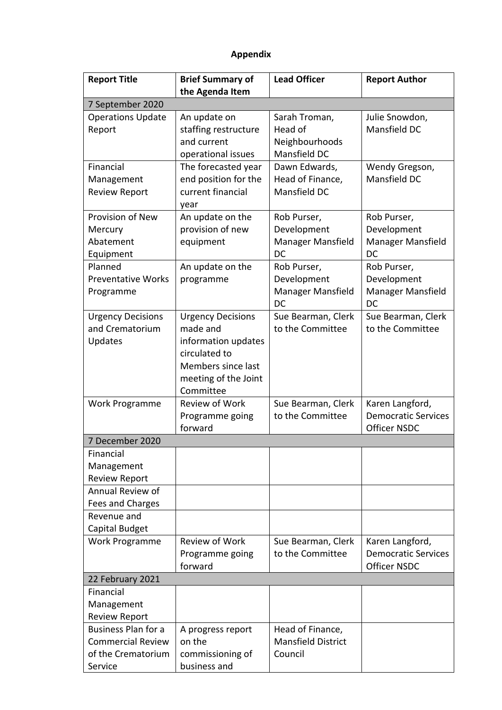# **Appendix**

| the Agenda Item<br>7 September 2020<br>An update on<br>Julie Snowdon,<br><b>Operations Update</b><br>Sarah Troman,<br>Head of<br>Mansfield DC<br>staffing restructure<br>Report<br>and current<br>Neighbourhoods<br>Mansfield DC<br>operational issues<br>Financial<br>The forecasted year<br>Dawn Edwards,<br>Wendy Gregson,<br>end position for the<br>Mansfield DC<br>Head of Finance,<br>Management<br>current financial<br>Mansfield DC<br><b>Review Report</b><br>year<br>Provision of New<br>An update on the<br>Rob Purser,<br>Rob Purser,<br>provision of new<br>Development<br>Development<br>Mercury<br>Abatement<br>equipment<br>Manager Mansfield<br>Manager Mansfield<br>DC<br>DC<br>Equipment<br>Planned<br>An update on the<br>Rob Purser,<br>Rob Purser,<br><b>Preventative Works</b><br>Development<br>Development<br>programme<br>Manager Mansfield<br>Manager Mansfield<br>Programme<br>DC<br>DC<br><b>Urgency Decisions</b><br><b>Urgency Decisions</b><br>Sue Bearman, Clerk<br>Sue Bearman, Clerk<br>and Crematorium<br>made and<br>to the Committee<br>to the Committee<br>information updates<br>Updates<br>circulated to | <b>Report Title</b> | <b>Brief Summary of</b> | <b>Lead Officer</b> | <b>Report Author</b> |  |  |
|----------------------------------------------------------------------------------------------------------------------------------------------------------------------------------------------------------------------------------------------------------------------------------------------------------------------------------------------------------------------------------------------------------------------------------------------------------------------------------------------------------------------------------------------------------------------------------------------------------------------------------------------------------------------------------------------------------------------------------------------------------------------------------------------------------------------------------------------------------------------------------------------------------------------------------------------------------------------------------------------------------------------------------------------------------------------------------------------------------------------------------------------------|---------------------|-------------------------|---------------------|----------------------|--|--|
|                                                                                                                                                                                                                                                                                                                                                                                                                                                                                                                                                                                                                                                                                                                                                                                                                                                                                                                                                                                                                                                                                                                                                    |                     |                         |                     |                      |  |  |
|                                                                                                                                                                                                                                                                                                                                                                                                                                                                                                                                                                                                                                                                                                                                                                                                                                                                                                                                                                                                                                                                                                                                                    |                     |                         |                     |                      |  |  |
|                                                                                                                                                                                                                                                                                                                                                                                                                                                                                                                                                                                                                                                                                                                                                                                                                                                                                                                                                                                                                                                                                                                                                    |                     |                         |                     |                      |  |  |
|                                                                                                                                                                                                                                                                                                                                                                                                                                                                                                                                                                                                                                                                                                                                                                                                                                                                                                                                                                                                                                                                                                                                                    |                     |                         |                     |                      |  |  |
|                                                                                                                                                                                                                                                                                                                                                                                                                                                                                                                                                                                                                                                                                                                                                                                                                                                                                                                                                                                                                                                                                                                                                    |                     |                         |                     |                      |  |  |
|                                                                                                                                                                                                                                                                                                                                                                                                                                                                                                                                                                                                                                                                                                                                                                                                                                                                                                                                                                                                                                                                                                                                                    |                     |                         |                     |                      |  |  |
|                                                                                                                                                                                                                                                                                                                                                                                                                                                                                                                                                                                                                                                                                                                                                                                                                                                                                                                                                                                                                                                                                                                                                    |                     |                         |                     |                      |  |  |
|                                                                                                                                                                                                                                                                                                                                                                                                                                                                                                                                                                                                                                                                                                                                                                                                                                                                                                                                                                                                                                                                                                                                                    |                     |                         |                     |                      |  |  |
|                                                                                                                                                                                                                                                                                                                                                                                                                                                                                                                                                                                                                                                                                                                                                                                                                                                                                                                                                                                                                                                                                                                                                    |                     |                         |                     |                      |  |  |
|                                                                                                                                                                                                                                                                                                                                                                                                                                                                                                                                                                                                                                                                                                                                                                                                                                                                                                                                                                                                                                                                                                                                                    |                     |                         |                     |                      |  |  |
|                                                                                                                                                                                                                                                                                                                                                                                                                                                                                                                                                                                                                                                                                                                                                                                                                                                                                                                                                                                                                                                                                                                                                    |                     |                         |                     |                      |  |  |
|                                                                                                                                                                                                                                                                                                                                                                                                                                                                                                                                                                                                                                                                                                                                                                                                                                                                                                                                                                                                                                                                                                                                                    |                     |                         |                     |                      |  |  |
|                                                                                                                                                                                                                                                                                                                                                                                                                                                                                                                                                                                                                                                                                                                                                                                                                                                                                                                                                                                                                                                                                                                                                    |                     |                         |                     |                      |  |  |
|                                                                                                                                                                                                                                                                                                                                                                                                                                                                                                                                                                                                                                                                                                                                                                                                                                                                                                                                                                                                                                                                                                                                                    |                     |                         |                     |                      |  |  |
|                                                                                                                                                                                                                                                                                                                                                                                                                                                                                                                                                                                                                                                                                                                                                                                                                                                                                                                                                                                                                                                                                                                                                    |                     |                         |                     |                      |  |  |
|                                                                                                                                                                                                                                                                                                                                                                                                                                                                                                                                                                                                                                                                                                                                                                                                                                                                                                                                                                                                                                                                                                                                                    |                     |                         |                     |                      |  |  |
|                                                                                                                                                                                                                                                                                                                                                                                                                                                                                                                                                                                                                                                                                                                                                                                                                                                                                                                                                                                                                                                                                                                                                    |                     |                         |                     |                      |  |  |
|                                                                                                                                                                                                                                                                                                                                                                                                                                                                                                                                                                                                                                                                                                                                                                                                                                                                                                                                                                                                                                                                                                                                                    |                     |                         |                     |                      |  |  |
|                                                                                                                                                                                                                                                                                                                                                                                                                                                                                                                                                                                                                                                                                                                                                                                                                                                                                                                                                                                                                                                                                                                                                    |                     |                         |                     |                      |  |  |
|                                                                                                                                                                                                                                                                                                                                                                                                                                                                                                                                                                                                                                                                                                                                                                                                                                                                                                                                                                                                                                                                                                                                                    |                     |                         |                     |                      |  |  |
|                                                                                                                                                                                                                                                                                                                                                                                                                                                                                                                                                                                                                                                                                                                                                                                                                                                                                                                                                                                                                                                                                                                                                    |                     |                         |                     |                      |  |  |
|                                                                                                                                                                                                                                                                                                                                                                                                                                                                                                                                                                                                                                                                                                                                                                                                                                                                                                                                                                                                                                                                                                                                                    |                     |                         |                     |                      |  |  |
| Members since last                                                                                                                                                                                                                                                                                                                                                                                                                                                                                                                                                                                                                                                                                                                                                                                                                                                                                                                                                                                                                                                                                                                                 |                     |                         |                     |                      |  |  |
| meeting of the Joint                                                                                                                                                                                                                                                                                                                                                                                                                                                                                                                                                                                                                                                                                                                                                                                                                                                                                                                                                                                                                                                                                                                               |                     |                         |                     |                      |  |  |
| Committee                                                                                                                                                                                                                                                                                                                                                                                                                                                                                                                                                                                                                                                                                                                                                                                                                                                                                                                                                                                                                                                                                                                                          |                     |                         |                     |                      |  |  |
| <b>Review of Work</b><br>Sue Bearman, Clerk<br>Karen Langford,<br>Work Programme                                                                                                                                                                                                                                                                                                                                                                                                                                                                                                                                                                                                                                                                                                                                                                                                                                                                                                                                                                                                                                                                   |                     |                         |                     |                      |  |  |
| <b>Democratic Services</b><br>Programme going<br>to the Committee                                                                                                                                                                                                                                                                                                                                                                                                                                                                                                                                                                                                                                                                                                                                                                                                                                                                                                                                                                                                                                                                                  |                     |                         |                     |                      |  |  |
| forward<br><b>Officer NSDC</b>                                                                                                                                                                                                                                                                                                                                                                                                                                                                                                                                                                                                                                                                                                                                                                                                                                                                                                                                                                                                                                                                                                                     |                     |                         |                     |                      |  |  |
| 7 December 2020                                                                                                                                                                                                                                                                                                                                                                                                                                                                                                                                                                                                                                                                                                                                                                                                                                                                                                                                                                                                                                                                                                                                    |                     |                         |                     |                      |  |  |
| Financial                                                                                                                                                                                                                                                                                                                                                                                                                                                                                                                                                                                                                                                                                                                                                                                                                                                                                                                                                                                                                                                                                                                                          |                     |                         |                     |                      |  |  |
| Management                                                                                                                                                                                                                                                                                                                                                                                                                                                                                                                                                                                                                                                                                                                                                                                                                                                                                                                                                                                                                                                                                                                                         |                     |                         |                     |                      |  |  |
| <b>Review Report</b>                                                                                                                                                                                                                                                                                                                                                                                                                                                                                                                                                                                                                                                                                                                                                                                                                                                                                                                                                                                                                                                                                                                               |                     |                         |                     |                      |  |  |
| Annual Review of                                                                                                                                                                                                                                                                                                                                                                                                                                                                                                                                                                                                                                                                                                                                                                                                                                                                                                                                                                                                                                                                                                                                   |                     |                         |                     |                      |  |  |
| Fees and Charges                                                                                                                                                                                                                                                                                                                                                                                                                                                                                                                                                                                                                                                                                                                                                                                                                                                                                                                                                                                                                                                                                                                                   |                     |                         |                     |                      |  |  |
| Revenue and                                                                                                                                                                                                                                                                                                                                                                                                                                                                                                                                                                                                                                                                                                                                                                                                                                                                                                                                                                                                                                                                                                                                        |                     |                         |                     |                      |  |  |
| Capital Budget<br><b>Review of Work</b>                                                                                                                                                                                                                                                                                                                                                                                                                                                                                                                                                                                                                                                                                                                                                                                                                                                                                                                                                                                                                                                                                                            |                     |                         |                     |                      |  |  |
| Karen Langford,<br>Work Programme<br>Sue Bearman, Clerk<br>to the Committee<br><b>Democratic Services</b>                                                                                                                                                                                                                                                                                                                                                                                                                                                                                                                                                                                                                                                                                                                                                                                                                                                                                                                                                                                                                                          |                     |                         |                     |                      |  |  |
| Programme going<br>forward                                                                                                                                                                                                                                                                                                                                                                                                                                                                                                                                                                                                                                                                                                                                                                                                                                                                                                                                                                                                                                                                                                                         |                     |                         |                     |                      |  |  |
| <b>Officer NSDC</b>                                                                                                                                                                                                                                                                                                                                                                                                                                                                                                                                                                                                                                                                                                                                                                                                                                                                                                                                                                                                                                                                                                                                |                     |                         |                     |                      |  |  |
| 22 February 2021<br>Financial                                                                                                                                                                                                                                                                                                                                                                                                                                                                                                                                                                                                                                                                                                                                                                                                                                                                                                                                                                                                                                                                                                                      |                     |                         |                     |                      |  |  |
| Management                                                                                                                                                                                                                                                                                                                                                                                                                                                                                                                                                                                                                                                                                                                                                                                                                                                                                                                                                                                                                                                                                                                                         |                     |                         |                     |                      |  |  |
| <b>Review Report</b>                                                                                                                                                                                                                                                                                                                                                                                                                                                                                                                                                                                                                                                                                                                                                                                                                                                                                                                                                                                                                                                                                                                               |                     |                         |                     |                      |  |  |
| <b>Business Plan for a</b>                                                                                                                                                                                                                                                                                                                                                                                                                                                                                                                                                                                                                                                                                                                                                                                                                                                                                                                                                                                                                                                                                                                         |                     |                         |                     |                      |  |  |
| Head of Finance,<br>A progress report<br><b>Commercial Review</b><br><b>Mansfield District</b><br>on the                                                                                                                                                                                                                                                                                                                                                                                                                                                                                                                                                                                                                                                                                                                                                                                                                                                                                                                                                                                                                                           |                     |                         |                     |                      |  |  |
| of the Crematorium<br>commissioning of<br>Council                                                                                                                                                                                                                                                                                                                                                                                                                                                                                                                                                                                                                                                                                                                                                                                                                                                                                                                                                                                                                                                                                                  |                     |                         |                     |                      |  |  |
| business and<br>Service                                                                                                                                                                                                                                                                                                                                                                                                                                                                                                                                                                                                                                                                                                                                                                                                                                                                                                                                                                                                                                                                                                                            |                     |                         |                     |                      |  |  |